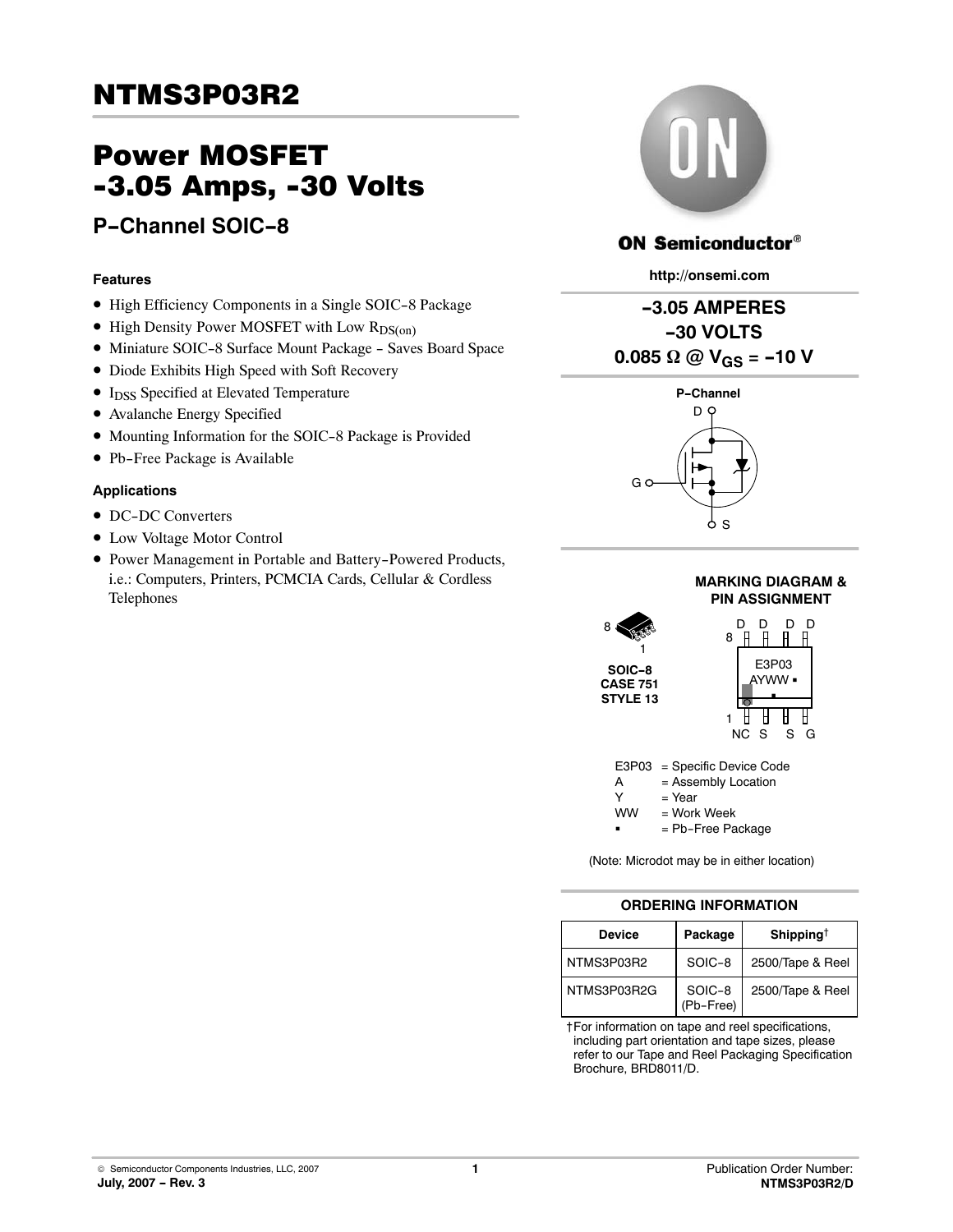# Power MOSFET -3.05 Amps, -30 Volts

## **P-Channel SOIC-8**

#### **Features**

- High Efficiency Components in a Single SOIC-8 Package
- High Density Power MOSFET with Low R<sub>DS(on)</sub>
- Miniature SOIC-8 Surface Mount Package Saves Board Space
- · Diode Exhibits High Speed with Soft Recovery
- I<sub>DSS</sub> Specified at Elevated Temperature
- · Avalanche Energy Specified
- Mounting Information for the SOIC-8 Package is Provided
- Pb-Free Package is Available

#### **Applications**

- DC-DC Converters
- $\bullet$  Low Voltage Motor Control
- Power Management in Portable and Battery-Powered Products, i.e.: Computers, Printers, PCMCIA Cards, Cellular & Cordless Telephones



## **ON Semiconductor®**

**http://onsemi.com**





#### **MARKING DIAGRAM & PIN ASSIGNMENT**





= Pb-Free Package

(Note: Microdot may be in either location)

### **ORDERING INFORMATION**

| <b>Device</b> | Package             | Shipping <sup>†</sup> |
|---------------|---------------------|-----------------------|
| NTMS3P03R2    | SOIC-8              | 2500/Tape & Reel      |
| NTMS3P03R2G   | SOIC-8<br>(Pb-Free) | 2500/Tape & Reel      |

†For information on tape and reel specifications, including part orientation and tape sizes, please refer to our Tape and Reel Packaging Specification Brochure, BRD8011/D.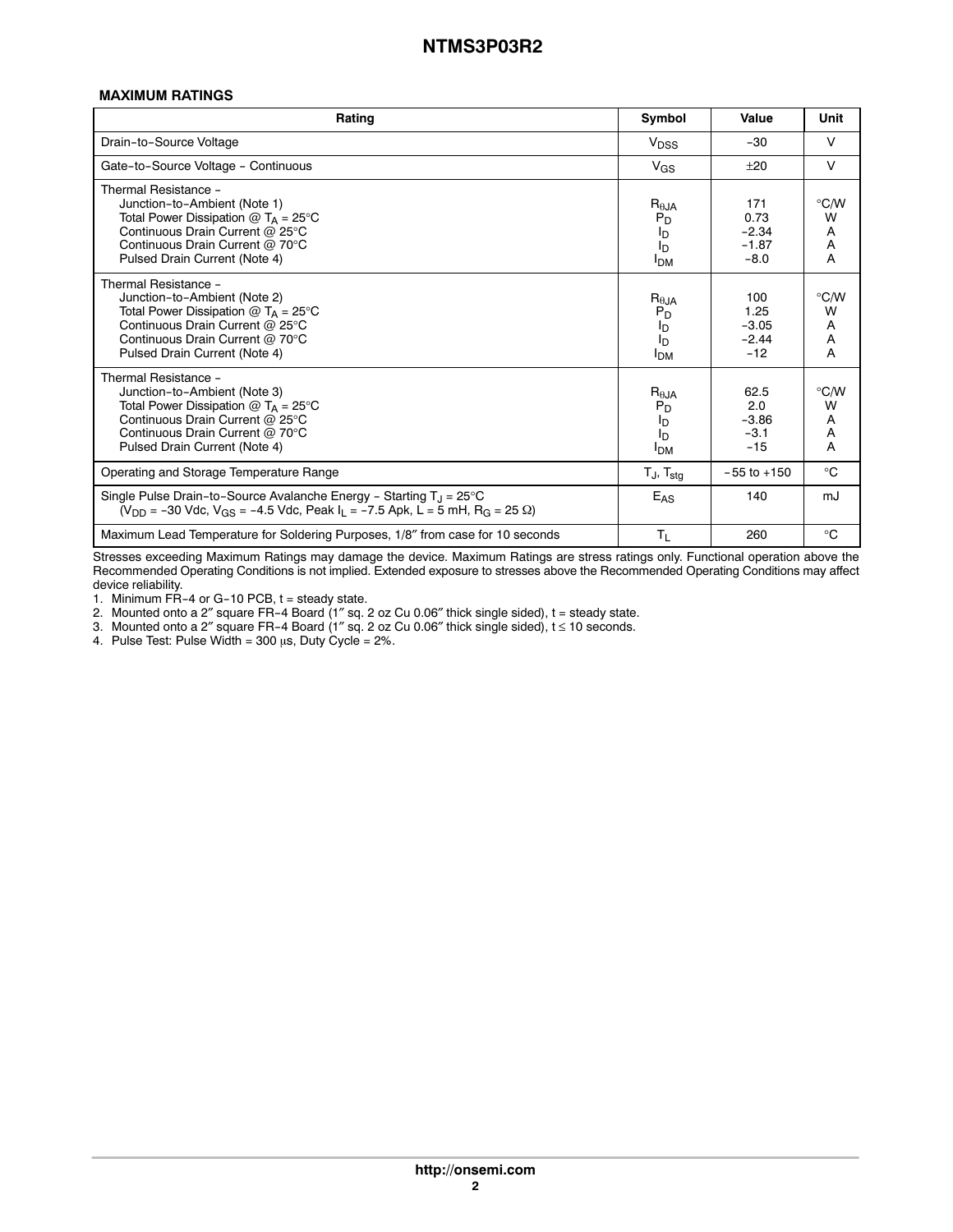#### **MAXIMUM RATINGS**

| Rating                                                                                                                                                                                                     |                                                                                        | Value                                       | Unit                              |
|------------------------------------------------------------------------------------------------------------------------------------------------------------------------------------------------------------|----------------------------------------------------------------------------------------|---------------------------------------------|-----------------------------------|
| Drain-to-Source Voltage                                                                                                                                                                                    |                                                                                        | $-30$                                       | $\vee$                            |
| Gate-to-Source Voltage - Continuous                                                                                                                                                                        | $V_{GS}$                                                                               | ±20                                         | $\vee$                            |
| Thermal Resistance -<br>Junction-to-Ambient (Note 1)<br>Total Power Dissipation $@T_A = 25^\circ C$<br>Continuous Drain Current @ 25°C<br>Continuous Drain Current @ 70°C<br>Pulsed Drain Current (Note 4) | $R_{\theta JA}$<br>$P_D$<br>l <sub>D</sub><br>I <sub>D</sub><br><b>I</b> <sub>DM</sub> | 171<br>0.73<br>$-2.34$<br>$-1.87$<br>$-8.0$ | $\degree$ C/W<br>W<br>Α<br>A<br>A |
| Thermal Resistance -<br>Junction-to-Ambient (Note 2)<br>Total Power Dissipation $@T_A = 25^\circ C$<br>Continuous Drain Current @ 25°C<br>Continuous Drain Current @ 70°C<br>Pulsed Drain Current (Note 4) | $R_{\theta JA}$<br>$P_D$<br>l <sub>D</sub><br>In.<br>I <sub>DM</sub>                   | 100<br>1.25<br>$-3.05$<br>$-2.44$<br>$-12$  | $\degree$ C/W<br>W<br>A<br>A<br>A |
| Thermal Resistance -<br>Junction-to-Ambient (Note 3)<br>Total Power Dissipation $@T_A = 25^\circ C$<br>Continuous Drain Current @ 25°C<br>Continuous Drain Current @ 70°C<br>Pulsed Drain Current (Note 4) |                                                                                        | 62.5<br>2.0<br>$-3.86$<br>$-3.1$<br>$-15$   | $\degree$ C/W<br>W<br>A<br>Α<br>A |
| Operating and Storage Temperature Range                                                                                                                                                                    | $T_J$ , $T_{\text{stg}}$                                                               | $-55$ to $+150$                             | °C                                |
| Single Pulse Drain-to-Source Avalanche Energy - Starting $T_{\rm J}$ = 25 °C<br>$(V_{DD} = -30$ Vdc, V <sub>GS</sub> = -4.5 Vdc, Peak I <sub>L</sub> = -7.5 Apk, L = 5 mH, R <sub>G</sub> = 25 $\Omega$ )  | $E_{AS}$                                                                               | 140                                         | mJ                                |
| Maximum Lead Temperature for Soldering Purposes, 1/8" from case for 10 seconds                                                                                                                             | $T_{L}$                                                                                | 260                                         | $^{\circ}C$                       |

Stresses exceeding Maximum Ratings may damage the device. Maximum Ratings are stress ratings only. Functional operation above the Recommended Operating Conditions is not implied. Extended exposure to stresses above the Recommended Operating Conditions may affect device reliability.

1. Minimum  $\overline{FR}-4$  or G-10 PCB,  $t =$  steady state.

2. Mounted onto a 2″ square FR-4 Board (1″ sq. 2 oz Cu 0.06″ thick single sided), t = steady state.

3. Mounted onto a 2″ square FR-4 Board (1″ sq. 2 oz Cu 0.06″ thick single sided), t ≤ 10 seconds.

4. Pulse Test: Pulse Width = 300  $\mu$ s, Duty Cycle = 2%.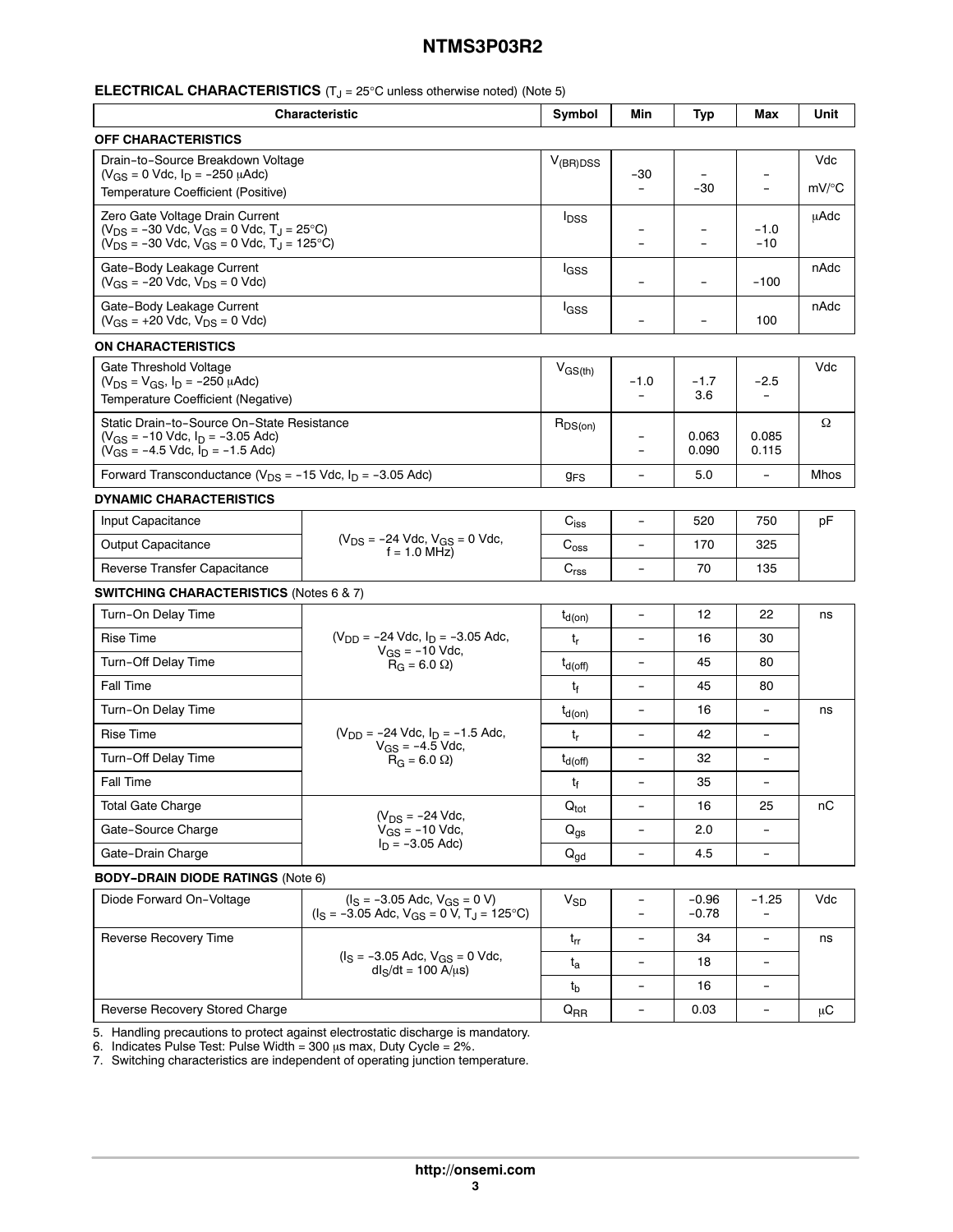#### **ELECTRICAL CHARACTERISTICS** (T<sub>J</sub> = 25°C unless otherwise noted) (Note 5)

| <b>Characteristic</b>                                                                                                                              |                                                                                                     | Symbol                  | Min                                | <b>Typ</b>               | Max                      | Unit         |
|----------------------------------------------------------------------------------------------------------------------------------------------------|-----------------------------------------------------------------------------------------------------|-------------------------|------------------------------------|--------------------------|--------------------------|--------------|
| <b>OFF CHARACTERISTICS</b>                                                                                                                         |                                                                                                     |                         |                                    |                          |                          |              |
| Drain-to-Source Breakdown Voltage<br>$(V_{GS} = 0$ Vdc, $I_D = -250$ $\mu$ Adc)<br>Temperature Coefficient (Positive)                              |                                                                                                     | $V_{(BR)DSS}$           | -30                                | $-30$                    | $\overline{a}$           | Vdc<br>mV/°C |
| Zero Gate Voltage Drain Current<br>$(V_{DS} = -30$ Vdc, $V_{GS} = 0$ Vdc, $T_J = 25$ °C)<br>$(V_{DS} = -30$ Vdc, $V_{GS} = 0$ Vdc, $T_J = 125$ °C) |                                                                                                     | <b>I</b> <sub>DSS</sub> |                                    |                          | $-1.0$<br>$-10$          | uAdc         |
| Gate-Body Leakage Current<br>$(V_{GS} = -20$ Vdc, $V_{DS} = 0$ Vdc)                                                                                |                                                                                                     | <sup>I</sup> GSS        |                                    |                          | $-100$                   | nAdc         |
| Gate-Body Leakage Current<br>$(V_{GS} = +20$ Vdc, $V_{DS} = 0$ Vdc)                                                                                |                                                                                                     | l <sub>GSS</sub>        | ۳                                  | $\overline{\phantom{0}}$ | 100                      | nAdc         |
| <b>ON CHARACTERISTICS</b>                                                                                                                          |                                                                                                     |                         |                                    |                          |                          |              |
| Gate Threshold Voltage<br>$(V_{DS} = V_{GS}, I_D = -250 \mu A d c)$<br>Temperature Coefficient (Negative)                                          |                                                                                                     | $V_{GS(th)}$            | $-1.0$<br>$\overline{\phantom{0}}$ | $-1.7$<br>3.6            | -2.5                     | Vdc          |
| Static Drain-to-Source On-State Resistance<br>$(V_{GS} = -10$ Vdc, $I_D = -3.05$ Adc)<br>$(V_{GS} = -4.5$ Vdc, $I_D = -1.5$ Adc)                   |                                                                                                     | $R_{DS(on)}$            | $\overline{\phantom{0}}$           | 0.063<br>0.090           | 0.085<br>0.115           | Ω            |
| Forward Transconductance ( $V_{DS}$ = -15 Vdc, $I_D$ = -3.05 Adc)                                                                                  |                                                                                                     | <b>g<sub>FS</sub></b>   | $\overline{\phantom{0}}$           | 5.0                      | $\overline{\phantom{a}}$ | Mhos         |
| <b>DYNAMIC CHARACTERISTICS</b>                                                                                                                     |                                                                                                     |                         |                                    |                          |                          |              |
| Input Capacitance                                                                                                                                  |                                                                                                     | $C_{iss}$               | $\qquad \qquad -$                  | 520                      | 750                      | pF           |
| <b>Output Capacitance</b>                                                                                                                          | $(V_{DS} = -24$ Vdc, $V_{GS} = 0$ Vdc,<br>$f = 1.0$ MHz)                                            | $\mathrm{C_{oss}}$      | $\overline{a}$                     | 170                      | 325                      |              |
| Reverse Transfer Capacitance                                                                                                                       |                                                                                                     | $C_{rss}$               | $\overline{\phantom{0}}$           | 70                       | 135                      |              |
| <b>SWITCHING CHARACTERISTICS (Notes 6 &amp; 7)</b>                                                                                                 |                                                                                                     |                         |                                    |                          |                          |              |
| Turn-On Delay Time                                                                                                                                 |                                                                                                     | $t_{d(on)}$             | $\overline{\phantom{a}}$           | 12                       | 22                       | ns           |
| <b>Rise Time</b>                                                                                                                                   | $(V_{DD} = -24$ Vdc, $I_D = -3.05$ Adc,<br>$V_{GS}$ = -10 Vdc,<br>$R_G = 6.0 \Omega$                | t <sub>r</sub>          | $\overline{a}$                     | 16                       | 30                       |              |
| Turn-Off Delay Time                                                                                                                                |                                                                                                     | $t_{d(\text{off})}$     | $\overline{a}$                     | 45                       | 80                       |              |
| <b>Fall Time</b>                                                                                                                                   |                                                                                                     | t <sub>f</sub>          | $\overline{\phantom{0}}$           | 45                       | 80                       |              |
| Turn-On Delay Time                                                                                                                                 |                                                                                                     | $t_{d(on)}$             | $\overline{\phantom{0}}$           | 16                       |                          | ns           |
| <b>Rise Time</b>                                                                                                                                   | $(V_{DD} = -24$ Vdc, $I_D = -1.5$ Adc,                                                              | $t_{r}$                 | $\qquad \qquad -$                  | 42                       | $\overline{\phantom{a}}$ |              |
| Turn-Off Delay Time                                                                                                                                | $V_{GS} = -4.5$ Vdc,<br>$R_G = 6.0 \Omega$                                                          | $t_{d(\text{off})}$     | $\overline{a}$                     | 32                       | $\overline{\phantom{0}}$ |              |
| Fall Time                                                                                                                                          |                                                                                                     | t <sub>f</sub>          | $\overline{a}$                     | 35                       | $\overline{\phantom{a}}$ |              |
| <b>Total Gate Charge</b>                                                                                                                           |                                                                                                     | $Q_{\text{tot}}$        | $\overline{\phantom{a}}$           | 16                       | 25                       | nС           |
| Gate-Source Charge                                                                                                                                 | $(V_{DS} = -24$ Vdc,<br>$V_{GS}$ = -10 Vdc,                                                         |                         | $\overline{\phantom{0}}$           | 2.0                      |                          |              |
| $I_n = -3.05$ Adc)<br>Gate-Drain Charge                                                                                                            |                                                                                                     | $Q_{gd}$                | $\overline{\phantom{0}}$           | 4.5                      | $\overline{\phantom{a}}$ |              |
| <b>BODY-DRAIN DIODE RATINGS (Note 6)</b>                                                                                                           |                                                                                                     |                         |                                    |                          |                          |              |
| Diode Forward On-Voltage                                                                                                                           | $(I_S = -3.05$ Adc, $V_{GS} = 0$ V)<br>$(I_S = -3.05$ Adc, $V_{GS} = 0$ V, T <sub>J</sub> = 125 °C) | $V_{SD}$                | -<br>$\overline{a}$                | $-0.96$<br>$-0.78$       | -1.25                    | Vdc          |
| Reverse Recovery Time                                                                                                                              | $I_S = -3.05$ Adc, $V_{GS} = 0$ Vdc,<br>$dl_S/dt = 100 A/µs$                                        | $t_{rr}$                | $\qquad \qquad -$                  | 34                       | $\overline{\phantom{a}}$ | ns           |
|                                                                                                                                                    |                                                                                                     | $t_{a}$                 | $\overline{\phantom{0}}$           | 18                       |                          |              |
|                                                                                                                                                    |                                                                                                     | $t_{\rm b}$             | $\overline{\phantom{0}}$           | 16                       | $\overline{\phantom{a}}$ |              |
| Reverse Recovery Stored Charge                                                                                                                     |                                                                                                     |                         | $\overline{\phantom{a}}$           | 0.03                     | $\overline{\phantom{a}}$ | μC           |

5. Handling precautions to protect against electrostatic discharge is mandatory.

6. Indicates Pulse Test: Pulse Width = 300  $\mu$ s max, Duty Cycle = 2%.

7. Switching characteristics are independent of operating junction temperature.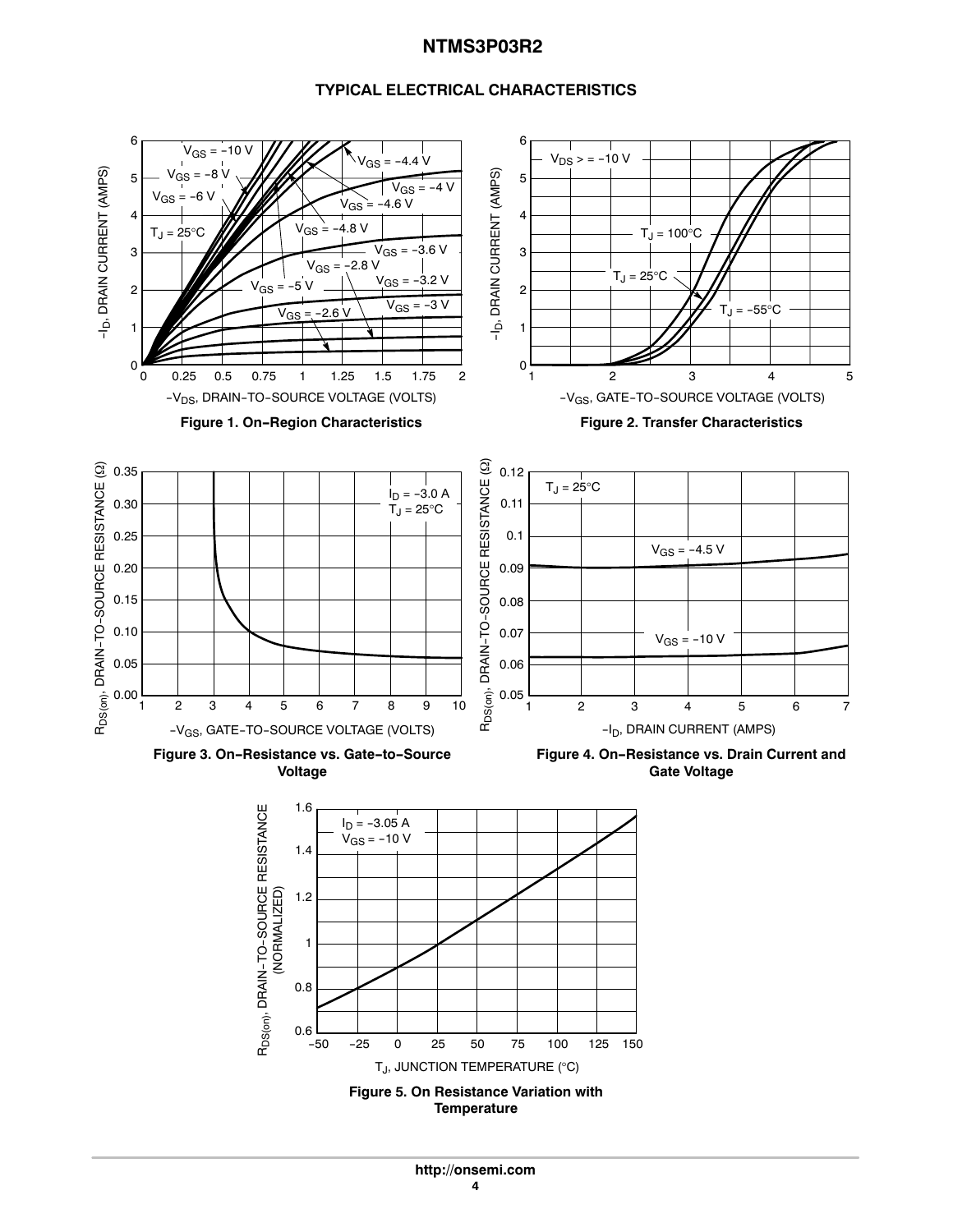### **TYPICAL ELECTRICAL CHARACTERISTICS**

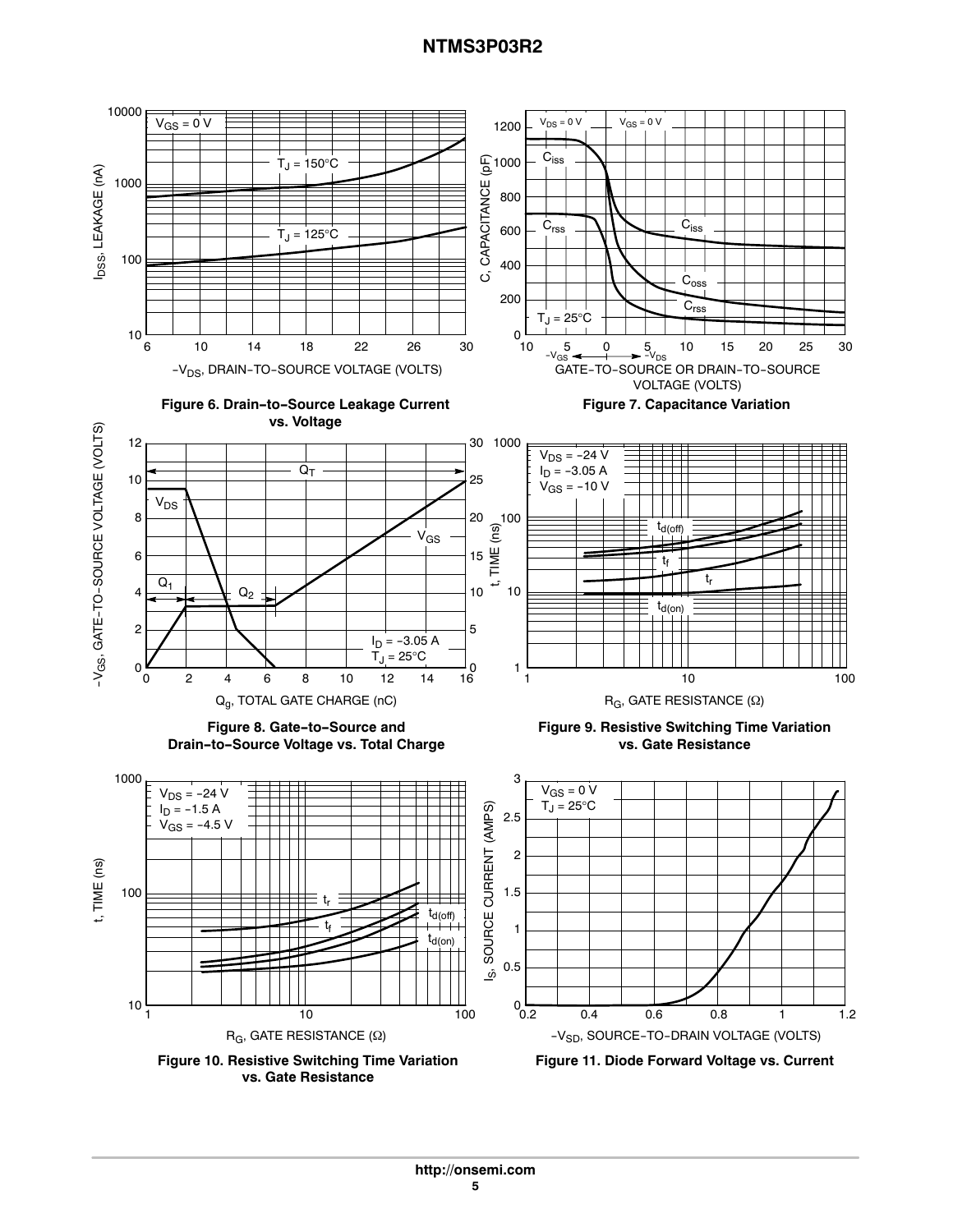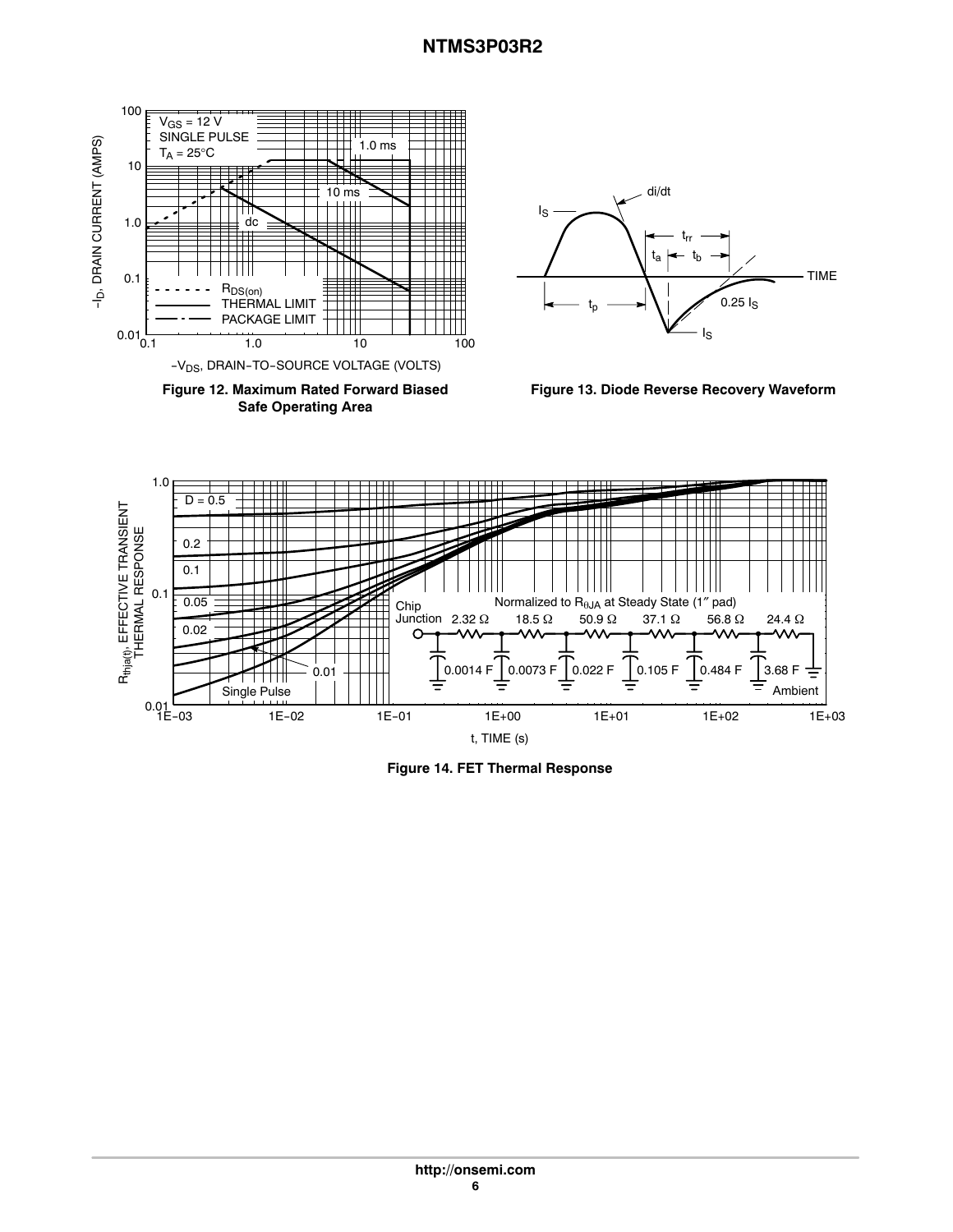TIME